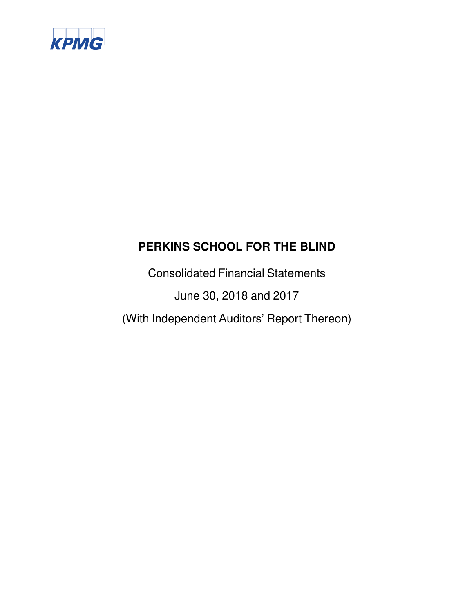

Consolidated Financial Statements June 30, 2018 and 2017 (With Independent Auditors' Report Thereon)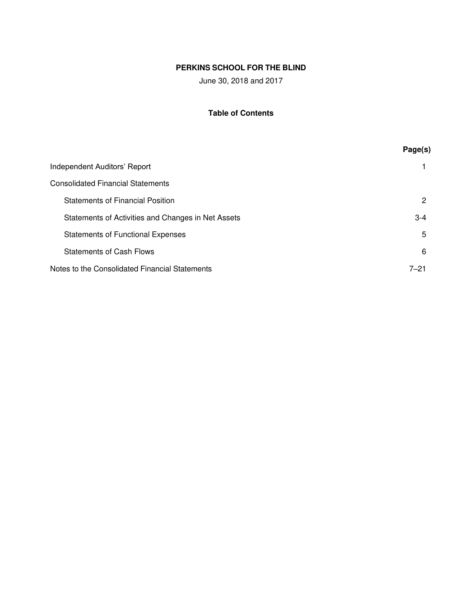June 30, 2018 and 2017

## **Table of Contents**

|                                                    | Page(s) |
|----------------------------------------------------|---------|
| Independent Auditors' Report                       |         |
| <b>Consolidated Financial Statements</b>           |         |
| <b>Statements of Financial Position</b>            | 2       |
| Statements of Activities and Changes in Net Assets | 3-4     |
| <b>Statements of Functional Expenses</b>           | 5       |
| <b>Statements of Cash Flows</b>                    | 6       |
| Notes to the Consolidated Financial Statements     | 7–21    |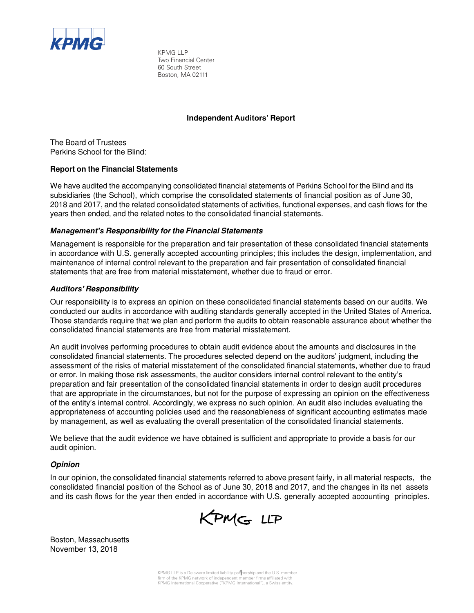

KPMG LLP Two Financial Center 60 South Street Boston, MA 02111

#### **Independent Auditors' Report**

The Board of Trustees Perkins School for the Blind:

#### **Report on the Financial Statements**

We have audited the accompanying consolidated financial statements of Perkins School for the Blind and its subsidiaries (the School), which comprise the consolidated statements of financial position as of June 30, 2018 and 2017, and the related consolidated statements of activities, functional expenses, and cash flows for the years then ended, and the related notes to the consolidated financial statements.

#### *Management's* **Responsibility for the Financial Statements**

Management is responsible for the preparation and fair presentation of these consolidated financial statements in accordance with U.S. generally accepted accounting principles; this includes the design, implementation, and maintenance of internal control relevant to the preparation and fair presentation of consolidated financial statements that are free from material misstatement, whether due to fraud or error.

#### *Auditors'* **Responsibility**

Our responsibility is to express an opinion on these consolidated financial statements based on our audits. We conducted our audits in accordance with auditing standards generally accepted in the United States of America. Those standards require that we plan and perform the audits to obtain reasonable assurance about whether the consolidated financial statements are free from material misstatement.

An audit involves performing procedures to obtain audit evidence about the amounts and disclosures in the consolidated financial statements. The procedures selected depend on the auditors' judgment, including the assessment of the risks of material misstatement of the consolidated financial statements, whether due to fraud or error. In making those risk assessments, the auditor considers internal control relevant to the entity's preparation and fair presentation of the consolidated financial statements in order to design audit procedures that are appropriate in the circumstances, but not for the purpose of expressing an opinion on the effectiveness of the entity's internal control. Accordingly, we express no such opinion. An audit also includes evaluating the appropriateness of accounting policies used and the reasonableness of significant accounting estimates made by management, as well as evaluating the overall presentation of the consolidated financial statements.

We believe that the audit evidence we have obtained is sufficient and appropriate to provide a basis for our audit opinion.

## **Opinion**

In our opinion, the consolidated financial statements referred to above present fairly, in all material respects, the consolidated financial position of the School as of June 30, 2018 and 2017, and the changes in its net assets and its cash flows for the year then ended in accordance with U.S. generally accepted accounting principles.



Boston, Massachusetts November 13, 2018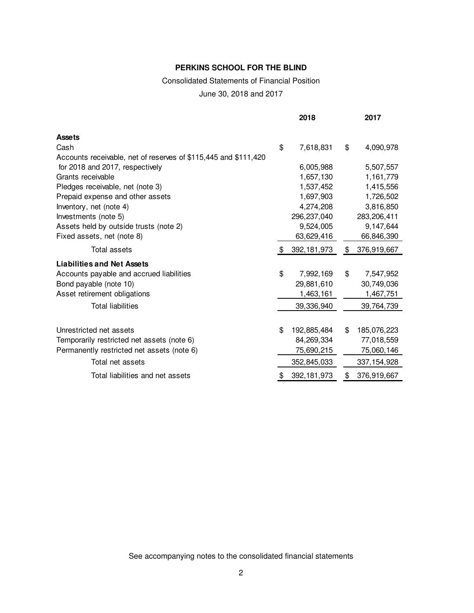# Consolidated Statements of Financial Position

June 30, 2018 and 2017

|                                                                 | 2018                |                | 2017          |
|-----------------------------------------------------------------|---------------------|----------------|---------------|
| <b>Assets</b>                                                   |                     |                |               |
| Cash                                                            | \$<br>7,618,831     | \$             | 4,090,978     |
| Accounts receivable, net of reserves of \$115,445 and \$111,420 |                     |                |               |
| for 2018 and 2017, respectively                                 | 6,005,988           |                | 5,507,557     |
| Grants receivable                                               | 1,657,130           |                | 1,161,779     |
| Pledges receivable, net (note 3)                                | 1,537,452           |                | 1,415,556     |
| Prepaid expense and other assets                                | 1,697,903           |                | 1,726,502     |
| Inventory, net (note 4)                                         | 4,274,208           |                | 3,816,850     |
| Investments (note 5)                                            | 296,237,040         |                | 283,206,411   |
| Assets held by outside trusts (note 2)                          | 9,524,005           |                | 9,147,644     |
| Fixed assets, net (note 8)                                      | 63,629,416          |                | 66,846,390    |
| Total assets                                                    | \$<br>392, 181, 973 | $\mathfrak{F}$ | 376,919,667   |
| <b>Liabilities and Net Assets</b>                               |                     |                |               |
| Accounts payable and accrued liabilities                        | \$<br>7,992,169     | \$             | 7,547,952     |
| Bond payable (note 10)                                          | 29,881,610          |                | 30,749,036    |
| Asset retirement obligations                                    | 1,463,161           |                | 1,467,751     |
| Total liabilities                                               | 39,336,940          |                | 39,764,739    |
|                                                                 |                     |                |               |
| Unrestricted net assets                                         | \$<br>192,885,484   | \$             | 185,076,223   |
| Temporarily restricted net assets (note 6)                      | 84,269,334          |                | 77,018,559    |
| Permanently restricted net assets (note 6)                      | 75,690,215          |                | 75,060,146    |
| Total net assets                                                | 352,845,033         |                | 337, 154, 928 |
| Total liabilities and net assets                                | \$<br>392, 181, 973 | \$             | 376,919,667   |
|                                                                 |                     |                |               |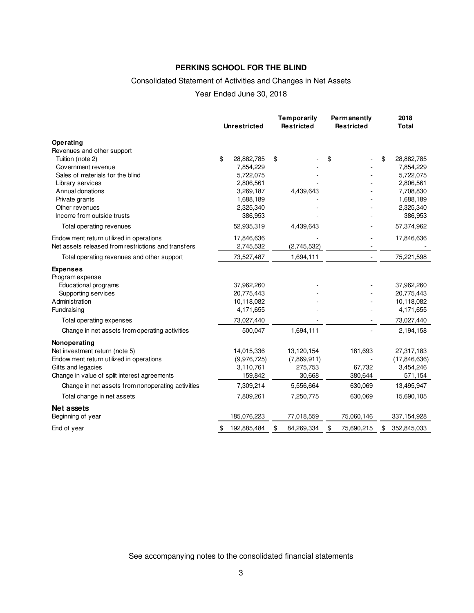## Consolidated Statement of Activities and Changes in Net Assets

Year Ended June 30, 2018

|                                                     | <b>Unrestricted</b> | <b>Temporarily</b><br><b>Restricted</b> | Permanently<br><b>Restricted</b> | 2018<br><b>Total</b> |
|-----------------------------------------------------|---------------------|-----------------------------------------|----------------------------------|----------------------|
| Operating                                           |                     |                                         |                                  |                      |
| Revenues and other support                          |                     |                                         |                                  |                      |
| Tuition (note 2)                                    | \$<br>28,882,785    | \$                                      | \$                               | \$<br>28,882,785     |
| Government revenue                                  | 7,854,229           |                                         |                                  | 7,854,229            |
| Sales of materials for the blind                    | 5,722,075           |                                         |                                  | 5,722,075            |
| Library services                                    | 2,806,561           |                                         |                                  | 2,806,561            |
| Annual donations                                    | 3,269,187           | 4,439,643                               |                                  | 7,708,830            |
| Private grants                                      | 1,688,189           |                                         |                                  | 1,688,189            |
| Other revenues                                      | 2,325,340           |                                         |                                  | 2,325,340            |
| Income from outside trusts                          | 386,953             |                                         |                                  | 386,953              |
| Total operating revenues                            | 52,935,319          | 4,439,643                               |                                  | 57,374,962           |
| Endow ment return utilized in operations            | 17,846,636          |                                         |                                  | 17,846,636           |
| Net assets released from restrictions and transfers | 2,745,532           | (2,745,532)                             |                                  |                      |
| Total operating revenues and other support          | 73,527,487          | 1,694,111                               |                                  | 75,221,598           |
| <b>Expenses</b>                                     |                     |                                         |                                  |                      |
| Program expense                                     |                     |                                         |                                  |                      |
| Educational programs                                | 37,962,260          |                                         |                                  | 37,962,260           |
| Supporting services                                 | 20,775,443          |                                         |                                  | 20,775,443           |
| Administration                                      | 10,118,082          |                                         |                                  | 10,118,082           |
| Fundraising                                         | 4,171,655           |                                         |                                  | 4,171,655            |
| Total operating expenses                            | 73,027,440          |                                         |                                  | 73,027,440           |
| Change in net assets from operating activities      | 500,047             | 1,694,111                               |                                  | 2,194,158            |
| Nonoperating                                        |                     |                                         |                                  |                      |
| Net investment return (note 5)                      | 14,015,336          | 13,120,154                              | 181,693                          | 27,317,183           |
| Endow ment return utilized in operations            | (9,976,725)         | (7,869,911)                             |                                  | (17, 846, 636)       |
| Gifts and legacies                                  | 3,110,761           | 275,753                                 | 67,732                           | 3,454,246            |
| Change in value of split interest agreements        | 159,842             | 30,668                                  | 380,644                          | 571,154              |
| Change in net assets from nonoperating activities   | 7,309,214           | 5,556,664                               | 630,069                          | 13,495,947           |
| Total change in net assets                          | 7,809,261           | 7,250,775                               | 630,069                          | 15,690,105           |
| Net assets                                          |                     |                                         |                                  |                      |
| Beginning of year                                   | 185,076,223         | 77,018,559                              | 75,060,146                       | 337,154,928          |
| End of year                                         | \$<br>192,885,484   | \$<br>84,269,334                        | \$<br>75,690,215                 | \$<br>352,845,033    |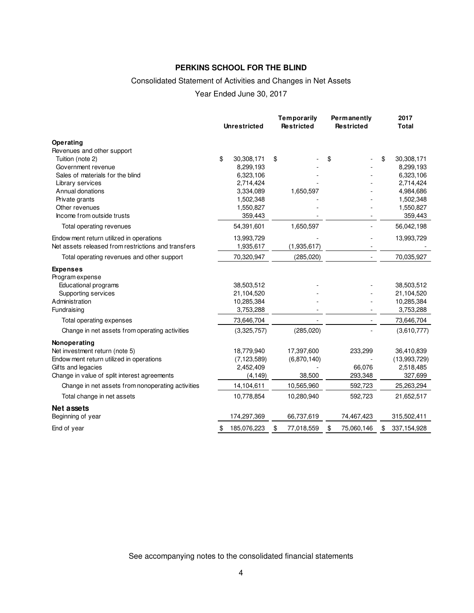## Consolidated Statement of Activities and Changes in Net Assets

Year Ended June 30, 2017

|                                                     | <b>Unrestricted</b> | Temporarily<br><b>Restricted</b> | Permanently<br><b>Restricted</b> | 2017<br><b>Total</b> |
|-----------------------------------------------------|---------------------|----------------------------------|----------------------------------|----------------------|
| Operating                                           |                     |                                  |                                  |                      |
| Revenues and other support                          |                     |                                  |                                  |                      |
| Tuition (note 2)                                    | \$<br>30,308,171    | \$                               | \$                               | \$<br>30,308,171     |
| Government revenue                                  | 8,299,193           |                                  |                                  | 8,299,193            |
| Sales of materials for the blind                    | 6,323,106           |                                  |                                  | 6,323,106            |
| Library services                                    | 2,714,424           |                                  |                                  | 2,714,424            |
| Annual donations                                    | 3,334,089           | 1,650,597                        |                                  | 4,984,686            |
| Private grants                                      | 1,502,348           |                                  |                                  | 1,502,348            |
| Other revenues                                      | 1,550,827           |                                  |                                  | 1,550,827            |
| Income from outside trusts                          | 359,443             |                                  |                                  | 359,443              |
| Total operating revenues                            | 54,391,601          | 1,650,597                        |                                  | 56,042,198           |
| Endow ment return utilized in operations            | 13,993,729          |                                  |                                  | 13,993,729           |
| Net assets released from restrictions and transfers | 1,935,617           | (1,935,617)                      |                                  |                      |
| Total operating revenues and other support          | 70,320,947          | (285, 020)                       |                                  | 70,035,927           |
| <b>Expenses</b>                                     |                     |                                  |                                  |                      |
| Program expense                                     |                     |                                  |                                  |                      |
| Educational programs                                | 38,503,512          |                                  |                                  | 38,503,512           |
| Supporting services                                 | 21,104,520          |                                  |                                  | 21,104,520           |
| Administration                                      | 10,285,384          |                                  |                                  | 10,285,384           |
| Fundraising                                         | 3,753,288           |                                  |                                  | 3,753,288            |
| Total operating expenses                            | 73,646,704          |                                  |                                  | 73,646,704           |
| Change in net assets from operating activities      | (3,325,757)         | (285, 020)                       |                                  | (3,610,777)          |
| Nonoperating                                        |                     |                                  |                                  |                      |
| Net investment return (note 5)                      | 18,779,940          | 17,397,600                       | 233,299                          | 36,410,839           |
| Endow ment return utilized in operations            | (7, 123, 589)       | (6,870,140)                      |                                  | (13,993,729)         |
| Gifts and legacies                                  | 2,452,409           |                                  | 66,076                           | 2,518,485            |
| Change in value of split interest agreements        | (4, 149)            | 38,500                           | 293,348                          | 327,699              |
| Change in net assets from nonoperating activities   | 14,104,611          | 10,565,960                       | 592,723                          | 25,263,294           |
| Total change in net assets                          | 10,778,854          | 10,280,940                       | 592,723                          | 21,652,517           |
| Net assets                                          |                     |                                  |                                  |                      |
| Beginning of year                                   | 174,297,369         | 66,737,619                       | 74,467,423                       | 315,502,411          |
| End of year                                         | \$<br>185,076,223   | \$<br>77,018,559                 | \$<br>75,060,146                 | \$<br>337,154,928    |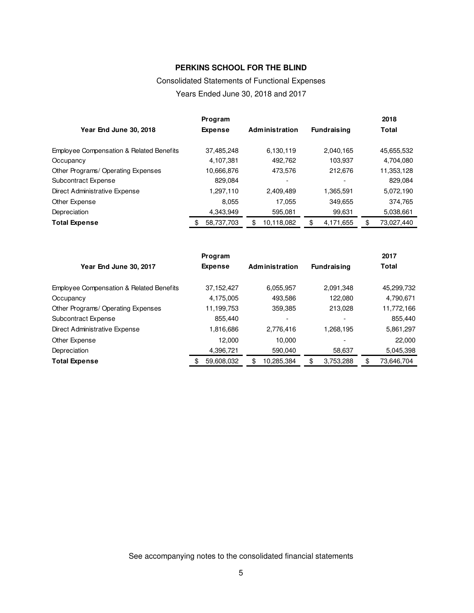## Consolidated Statements of Functional Expenses Years Ended June 30, 2018 and 2017

|                                          | Program        |                          |                    | 2018             |
|------------------------------------------|----------------|--------------------------|--------------------|------------------|
| Year End June 30, 2018                   | <b>Expense</b> | <b>Administration</b>    | <b>Fundraising</b> | <b>Total</b>     |
| Employee Compensation & Related Benefits | 37,485,248     | 6,130,119                | 2,040,165          | 45,655,532       |
| Occupancy                                | 4,107,381      | 492.762                  | 103.937            | 4,704,080        |
| Other Programs/Operating Expenses        | 10,666,876     | 473.576                  | 212,676            | 11,353,128       |
| Subcontract Expense                      | 829,084        | $\overline{\phantom{0}}$ |                    | 829,084          |
| Direct Administrative Expense            | 1,297,110      | 2,409,489                | 1,365,591          | 5,072,190        |
| Other Expense                            | 8.055          | 17.055                   | 349,655            | 374.765          |
| Depreciation                             | 4,343,949      | 595,081                  | 99,631             | 5,038,661        |
| <b>Total Expense</b>                     | 58,737,703     | 10,118,082<br>\$.        | 4,171,655<br>\$    | \$<br>73,027,440 |

|                                                     | Program          |                       |                    | 2017             |
|-----------------------------------------------------|------------------|-----------------------|--------------------|------------------|
| Year End June 30, 2017                              | <b>Expense</b>   | <b>Administration</b> | <b>Fundraising</b> | Total            |
| <b>Employee Compensation &amp; Related Benefits</b> | 37,152,427       | 6,055,957             | 2.091.348          | 45,299,732       |
| Occupancy                                           | 4,175,005        | 493,586               | 122,080            | 4,790,671        |
| Other Programs/Operating Expenses                   | 11,199,753       | 359,385               | 213,028            | 11,772,166       |
| Subcontract Expense                                 | 855.440          |                       |                    | 855,440          |
| Direct Administrative Expense                       | 1,816,686        | 2.776.416             | 1,268,195          | 5,861,297        |
| Other Expense                                       | 12,000           | 10.000                |                    | 22,000           |
| Depreciation                                        | 4,396,721        | 590,040               | 58,637             | 5,045,398        |
| <b>Total Expense</b>                                | 59,608,032<br>\$ | 10,285,384<br>\$      | 3,753,288<br>\$    | \$<br>73,646,704 |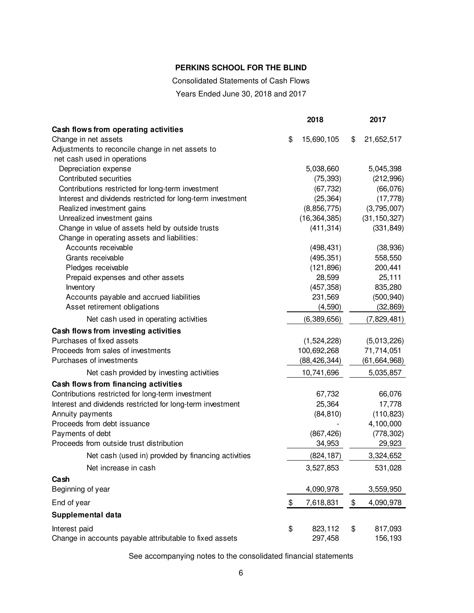Consolidated Statements of Cash Flows Years Ended June 30, 2018 and 2017

|                                                            | 2018             |            | 2017           |
|------------------------------------------------------------|------------------|------------|----------------|
| Cash flows from operating activities                       |                  |            |                |
| Change in net assets                                       | \$<br>15,690,105 | \$         | 21,652,517     |
| Adjustments to reconcile change in net assets to           |                  |            |                |
| net cash used in operations                                |                  |            |                |
| Depreciation expense                                       | 5,038,660        |            | 5,045,398      |
| Contributed securities                                     | (75, 393)        |            | (212,996)      |
| Contributions restricted for long-term investment          | (67, 732)        |            | (66,076)       |
| Interest and dividends restricted for long-term investment | (25, 364)        |            | (17, 778)      |
| Realized investment gains                                  | (8,856,775)      |            | (3,795,007)    |
| Unrealized investment gains                                | (16, 364, 385)   |            | (31, 150, 327) |
| Change in value of assets held by outside trusts           | (411, 314)       |            | (331, 849)     |
| Change in operating assets and liabilities:                |                  |            |                |
| Accounts receivable                                        | (498, 431)       |            | (38, 936)      |
| Grants receivable                                          | (495, 351)       |            | 558,550        |
| Pledges receivable                                         | (121, 896)       |            | 200,441        |
| Prepaid expenses and other assets                          | 28,599           |            | 25,111         |
| Inventory                                                  | (457, 358)       |            | 835,280        |
| Accounts payable and accrued liabilities                   | 231,569          |            | (500, 940)     |
| Asset retirement obligations                               | (4,590)          |            | (32, 869)      |
| Net cash used in operating activities                      | (6,389,656)      |            | (7,829,481)    |
| Cash flows from investing activities                       |                  |            |                |
| Purchases of fixed assets                                  | (1,524,228)      |            | (5,013,226)    |
| Proceeds from sales of investments                         | 100,692,268      |            | 71,714,051     |
| Purchases of investments                                   | (88, 426, 344)   |            | (61, 664, 968) |
| Net cash provided by investing activities                  | 10,741,696       |            | 5,035,857      |
| Cash flows from financing activities                       |                  |            |                |
| Contributions restricted for long-term investment          | 67,732           |            | 66,076         |
| Interest and dividends restricted for long-term investment | 25,364           |            | 17,778         |
| Annuity payments                                           | (84, 810)        |            | (110, 823)     |
| Proceeds from debt issuance                                |                  |            | 4,100,000      |
| Payments of debt                                           | (867, 426)       |            | (778, 302)     |
| Proceeds from outside trust distribution                   | 34,953           |            | 29,923         |
| Net cash (used in) provided by financing activities        | (824, 187)       |            | 3,324,652      |
| Net increase in cash                                       | 3,527,853        |            | 531,028        |
| Cash                                                       |                  |            |                |
| Beginning of year                                          | 4,090,978        |            | 3,559,950      |
| End of year                                                | \$<br>7,618,831  | $\, \, \$$ | 4,090,978      |
| Supplemental data                                          |                  |            |                |
| Interest paid                                              | \$<br>823,112    | \$         | 817,093        |
| Change in accounts payable attributable to fixed assets    | 297,458          |            | 156,193        |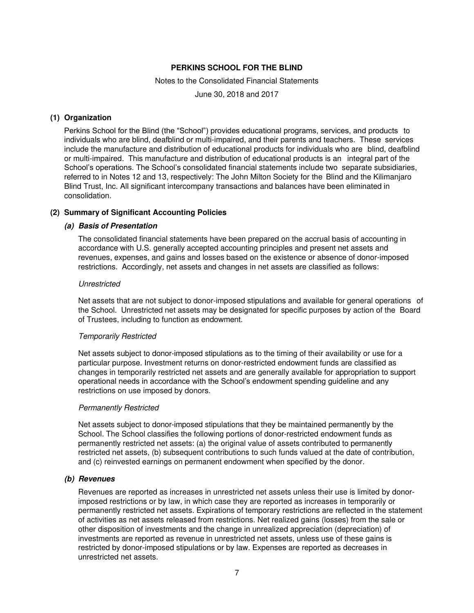Notes to the Consolidated Financial Statements

June 30, 2018 and 2017

### **(1) Organization**

Perkins School for the Blind (the "School") provides educational programs, services, and products to individuals who are blind, deafblind or multi-impaired, and their parents and teachers. These services include the manufacture and distribution of educational products for individuals who are blind, deafblind or multi-impaired. This manufacture and distribution of educational products is an integral part of the School's operations. The School's consolidated financial statements include two separate subsidiaries, referred to in Notes 12 and 13, respectively: The John Milton Society for the Blind and the Kilimanjaro Blind Trust, Inc. All significant intercompany transactions and balances have been eliminated in consolidation.

#### **(2) Summary of Significant Accounting Policies**

#### **(a) Basis of Presentation**

The consolidated financial statements have been prepared on the accrual basis of accounting in accordance with U.S. generally accepted accounting principles and present net assets and revenues, expenses, and gains and losses based on the existence or absence of donor-imposed restrictions. Accordingly, net assets and changes in net assets are classified as follows:

#### Unrestricted

Net assets that are not subject to donor-imposed stipulations and available for general operations of the School. Unrestricted net assets may be designated for specific purposes by action of the Board of Trustees, including to function as endowment.

#### Temporarily Restricted

Net assets subject to donor-imposed stipulations as to the timing of their availability or use for a particular purpose. Investment returns on donor-restricted endowment funds are classified as changes in temporarily restricted net assets and are generally available for appropriation to support operational needs in accordance with the School's endowment spending guideline and any restrictions on use imposed by donors.

#### Permanently Restricted

Net assets subject to donor-imposed stipulations that they be maintained permanently by the School. The School classifies the following portions of donor-restricted endowment funds as permanently restricted net assets: (a) the original value of assets contributed to permanently restricted net assets, (b) subsequent contributions to such funds valued at the date of contribution, and (c) reinvested earnings on permanent endowment when specified by the donor.

#### **(b) Revenues**

Revenues are reported as increases in unrestricted net assets unless their use is limited by donorimposed restrictions or by law, in which case they are reported as increases in temporarily or permanently restricted net assets. Expirations of temporary restrictions are reflected in the statement of activities as net assets released from restrictions. Net realized gains (losses) from the sale or other disposition of investments and the change in unrealized appreciation (depreciation) of investments are reported as revenue in unrestricted net assets, unless use of these gains is restricted by donor-imposed stipulations or by law. Expenses are reported as decreases in unrestricted net assets.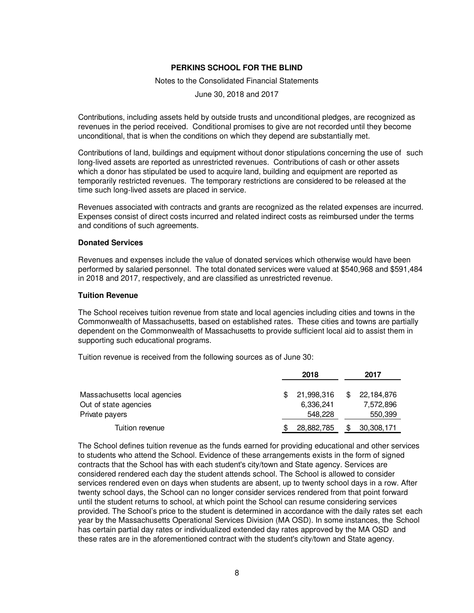Notes to the Consolidated Financial Statements

June 30, 2018 and 2017

Contributions, including assets held by outside trusts and unconditional pledges, are recognized as revenues in the period received. Conditional promises to give are not recorded until they become unconditional, that is when the conditions on which they depend are substantially met.

Contributions of land, buildings and equipment without donor stipulations concerning the use of such long-lived assets are reported as unrestricted revenues. Contributions of cash or other assets which a donor has stipulated be used to acquire land, building and equipment are reported as temporarily restricted revenues. The temporary restrictions are considered to be released at the time such long-lived assets are placed in service.

Revenues associated with contracts and grants are recognized as the related expenses are incurred. Expenses consist of direct costs incurred and related indirect costs as reimbursed under the terms and conditions of such agreements.

#### **Donated Services**

Revenues and expenses include the value of donated services which otherwise would have been performed by salaried personnel. The total donated services were valued at \$540,968 and \$591,484 in 2018 and 2017, respectively, and are classified as unrestricted revenue.

#### **Tuition Revenue**

The School receives tuition revenue from state and local agencies including cities and towns in the Commonwealth of Massachusetts, based on established rates. These cities and towns are partially dependent on the Commonwealth of Massachusetts to provide sufficient local aid to assist them in supporting such educational programs.

Tuition revenue is received from the following sources as of June 30:

|                              | 2018       | 2017       |  |
|------------------------------|------------|------------|--|
| Massachusetts local agencies | 21,998,316 | 22,184,876 |  |
| Out of state agencies        | 6,336,241  | 7,572,896  |  |
| Private payers               | 548.228    | 550,399    |  |
| Tuition revenue              | 28,882,785 | 30,308,171 |  |

The School defines tuition revenue as the funds earned for providing educational and other services to students who attend the School. Evidence of these arrangements exists in the form of signed contracts that the School has with each student's city/town and State agency. Services are considered rendered each day the student attends school. The School is allowed to consider services rendered even on days when students are absent, up to twenty school days in a row. After twenty school days, the School can no longer consider services rendered from that point forward until the student returns to school, at which point the School can resume considering services provided. The School's price to the student is determined in accordance with the daily rates set each year by the Massachusetts Operational Services Division (MA OSD). In some instances, the School has certain partial day rates or individualized extended day rates approved by the MA OSD and these rates are in the aforementioned contract with the student's city/town and State agency.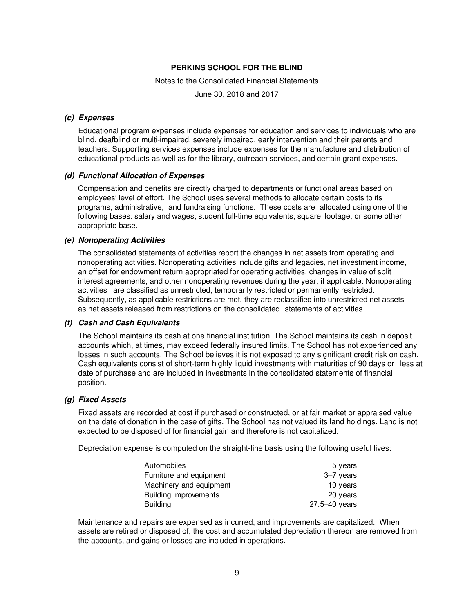Notes to the Consolidated Financial Statements

June 30, 2018 and 2017

#### **(c) Expenses**

Educational program expenses include expenses for education and services to individuals who are blind, deafblind or multi-impaired, severely impaired, early intervention and their parents and teachers. Supporting services expenses include expenses for the manufacture and distribution of educational products as well as for the library, outreach services, and certain grant expenses.

#### **(d) Functional Allocation of Expenses**

Compensation and benefits are directly charged to departments or functional areas based on employees' level of effort. The School uses several methods to allocate certain costs to its programs, administrative, and fundraising functions. These costs are allocated using one of the following bases: salary and wages; student full-time equivalents; square footage, or some other appropriate base.

#### **(e) Nonoperating Activities**

The consolidated statements of activities report the changes in net assets from operating and nonoperating activities. Nonoperating activities include gifts and legacies, net investment income, an offset for endowment return appropriated for operating activities, changes in value of split interest agreements, and other nonoperating revenues during the year, if applicable. Nonoperating activities are classified as unrestricted, temporarily restricted or permanently restricted. Subsequently, as applicable restrictions are met, they are reclassified into unrestricted net assets as net assets released from restrictions on the consolidated statements of activities.

#### **(f) Cash and Cash Equivalents**

The School maintains its cash at one financial institution. The School maintains its cash in deposit accounts which, at times, may exceed federally insured limits. The School has not experienced any losses in such accounts. The School believes it is not exposed to any significant credit risk on cash. Cash equivalents consist of short-term highly liquid investments with maturities of 90 days or less at date of purchase and are included in investments in the consolidated statements of financial position.

#### **(g) Fixed Assets**

Fixed assets are recorded at cost if purchased or constructed, or at fair market or appraised value on the date of donation in the case of gifts. The School has not valued its land holdings. Land is not expected to be disposed of for financial gain and therefore is not capitalized.

Depreciation expense is computed on the straight-line basis using the following useful lives:

| Automobiles                  | 5 years       |
|------------------------------|---------------|
| Furniture and equipment      | $3 - 7$ years |
| Machinery and equipment      | 10 years      |
| <b>Building improvements</b> | 20 years      |
| <b>Building</b>              | 27.5-40 years |

Maintenance and repairs are expensed as incurred, and improvements are capitalized. When assets are retired or disposed of, the cost and accumulated depreciation thereon are removed from the accounts, and gains or losses are included in operations.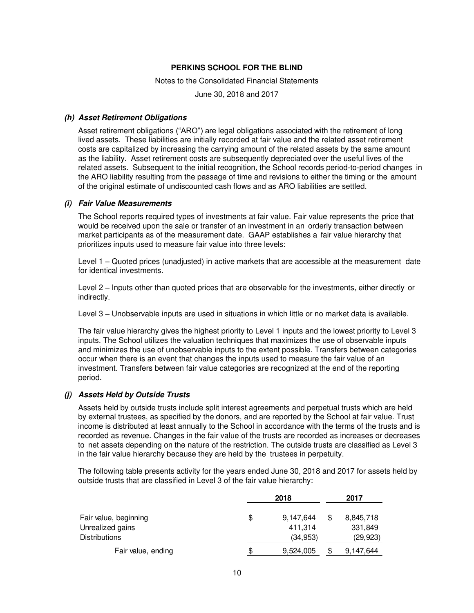Notes to the Consolidated Financial Statements

June 30, 2018 and 2017

#### **(h) Asset Retirement Obligations**

Asset retirement obligations ("ARO") are legal obligations associated with the retirement of long lived assets. These liabilities are initially recorded at fair value and the related asset retirement costs are capitalized by increasing the carrying amount of the related assets by the same amount as the liability. Asset retirement costs are subsequently depreciated over the useful lives of the related assets. Subsequent to the initial recognition, the School records period-to-period changes in the ARO liability resulting from the passage of time and revisions to either the timing or the amount of the original estimate of undiscounted cash flows and as ARO liabilities are settled.

#### **(i) Fair Value Measurements**

The School reports required types of investments at fair value. Fair value represents the price that would be received upon the sale or transfer of an investment in an orderly transaction between market participants as of the measurement date. GAAP establishes a fair value hierarchy that prioritizes inputs used to measure fair value into three levels:

Level 1 – Quoted prices (unadjusted) in active markets that are accessible at the measurement date for identical investments.

Level 2 – Inputs other than quoted prices that are observable for the investments, either directly or indirectly.

Level 3 – Unobservable inputs are used in situations in which little or no market data is available.

The fair value hierarchy gives the highest priority to Level 1 inputs and the lowest priority to Level 3 inputs. The School utilizes the valuation techniques that maximizes the use of observable inputs and minimizes the use of unobservable inputs to the extent possible. Transfers between categories occur when there is an event that changes the inputs used to measure the fair value of an investment. Transfers between fair value categories are recognized at the end of the reporting period.

## **(j) Assets Held by Outside Trusts**

Assets held by outside trusts include split interest agreements and perpetual trusts which are held by external trustees, as specified by the donors, and are reported by the School at fair value. Trust income is distributed at least annually to the School in accordance with the terms of the trusts and is recorded as revenue. Changes in the fair value of the trusts are recorded as increases or decreases to net assets depending on the nature of the restriction. The outside trusts are classified as Level 3 in the fair value hierarchy because they are held by the trustees in perpetuity.

The following table presents activity for the years ended June 30, 2018 and 2017 for assets held by outside trusts that are classified in Level 3 of the fair value hierarchy:

|                       |    | 2018      |    |           |
|-----------------------|----|-----------|----|-----------|
| Fair value, beginning | \$ | 9.147.644 | \$ | 8,845,718 |
| Unrealized gains      |    | 411.314   |    | 331,849   |
| <b>Distributions</b>  |    | (34, 953) |    | (29, 923) |
| Fair value, ending    | S  | 9,524,005 |    | 9.147.644 |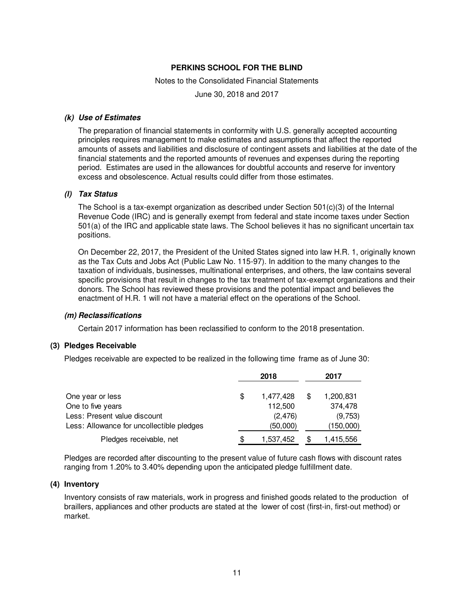Notes to the Consolidated Financial Statements

June 30, 2018 and 2017

#### **(k) Use of Estimates**

The preparation of financial statements in conformity with U.S. generally accepted accounting principles requires management to make estimates and assumptions that affect the reported amounts of assets and liabilities and disclosure of contingent assets and liabilities at the date of the financial statements and the reported amounts of revenues and expenses during the reporting period. Estimates are used in the allowances for doubtful accounts and reserve for inventory excess and obsolescence. Actual results could differ from those estimates.

#### **(l) Tax Status**

The School is a tax-exempt organization as described under Section  $501(c)(3)$  of the Internal Revenue Code (IRC) and is generally exempt from federal and state income taxes under Section 501(a) of the IRC and applicable state laws. The School believes it has no significant uncertain tax positions.

On December 22, 2017, the President of the United States signed into law H.R. 1, originally known as the Tax Cuts and Jobs Act (Public Law No. 115-97). In addition to the many changes to the taxation of individuals, businesses, multinational enterprises, and others, the law contains several specific provisions that result in changes to the tax treatment of tax-exempt organizations and their donors. The School has reviewed these provisions and the potential impact and believes the enactment of H.R. 1 will not have a material effect on the operations of the School.

#### **(m) Reclassifications**

Certain 2017 information has been reclassified to conform to the 2018 presentation.

#### **(3) Pledges Receivable**

Pledges receivable are expected to be realized in the following time frame as of June 30:

|                                           |    | 2018      | 2017            |
|-------------------------------------------|----|-----------|-----------------|
| One year or less                          | \$ | 1,477,428 | \$<br>1,200,831 |
| One to five years                         |    | 112,500   | 374,478         |
| Less: Present value discount              |    | (2, 476)  | (9,753)         |
| Less: Allowance for uncollectible pledges |    | (50,000)  | (150,000)       |
| Pledges receivable, net                   | S  | 1,537,452 | 1,415,556       |

Pledges are recorded after discounting to the present value of future cash flows with discount rates ranging from 1.20% to 3.40% depending upon the anticipated pledge fulfillment date.

#### **(4) Inventory**

Inventory consists of raw materials, work in progress and finished goods related to the production of braillers, appliances and other products are stated at the lower of cost (first-in, first-out method) or market.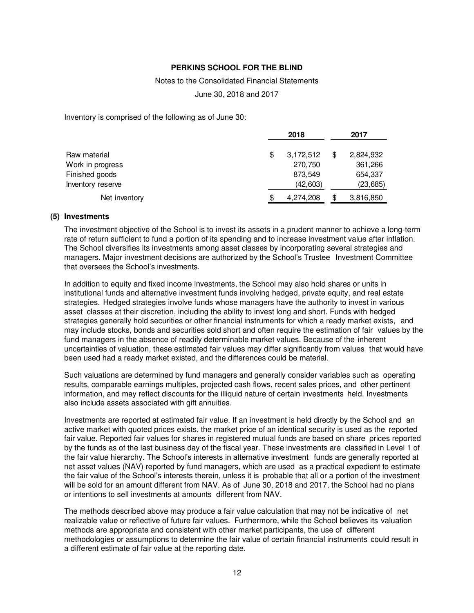Notes to the Consolidated Financial Statements

June 30, 2018 and 2017

Inventory is comprised of the following as of June 30:

|                   | 2018            | 2017            |
|-------------------|-----------------|-----------------|
| Raw material      | \$<br>3,172,512 | \$<br>2,824,932 |
| Work in progress  | 270,750         | 361,266         |
| Finished goods    | 873,549         | 654,337         |
| Inventory reserve | (42, 603)       | (23, 685)       |
| Net inventory     | 4,274,208       | \$<br>3,816,850 |

#### **(5) Investments**

The investment objective of the School is to invest its assets in a prudent manner to achieve a long-term rate of return sufficient to fund a portion of its spending and to increase investment value after inflation. The School diversifies its investments among asset classes by incorporating several strategies and managers. Major investment decisions are authorized by the School's Trustee Investment Committee that oversees the School's investments.

In addition to equity and fixed income investments, the School may also hold shares or units in institutional funds and alternative investment funds involving hedged, private equity, and real estate strategies. Hedged strategies involve funds whose managers have the authority to invest in various asset classes at their discretion, including the ability to invest long and short. Funds with hedged strategies generally hold securities or other financial instruments for which a ready market exists, and may include stocks, bonds and securities sold short and often require the estimation of fair values by the fund managers in the absence of readily determinable market values. Because of the inherent uncertainties of valuation, these estimated fair values may differ significantly from values that would have been used had a ready market existed, and the differences could be material.

Such valuations are determined by fund managers and generally consider variables such as operating results, comparable earnings multiples, projected cash flows, recent sales prices, and other pertinent information, and may reflect discounts for the illiquid nature of certain investments held. Investments also include assets associated with gift annuities.

Investments are reported at estimated fair value. If an investment is held directly by the School and an active market with quoted prices exists, the market price of an identical security is used as the reported fair value. Reported fair values for shares in registered mutual funds are based on share prices reported by the funds as of the last business day of the fiscal year. These investments are classified in Level 1 of the fair value hierarchy. The School's interests in alternative investment funds are generally reported at net asset values (NAV) reported by fund managers, which are used as a practical expedient to estimate the fair value of the School's interests therein, unless it is probable that all or a portion of the investment will be sold for an amount different from NAV. As of June 30, 2018 and 2017, the School had no plans or intentions to sell investments at amounts different from NAV.

The methods described above may produce a fair value calculation that may not be indicative of net realizable value or reflective of future fair values. Furthermore, while the School believes its valuation methods are appropriate and consistent with other market participants, the use of different methodologies or assumptions to determine the fair value of certain financial instruments could result in a different estimate of fair value at the reporting date.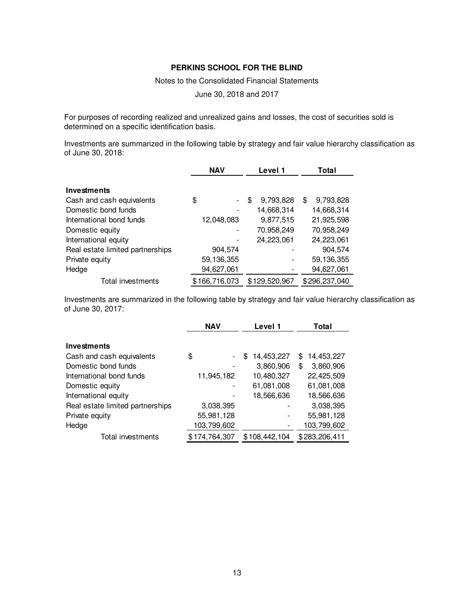Notes to the Consolidated Financial Statements

June 30, 2018 and 2017

For purposes of recording realized and unrealized gains and losses, the cost of securities sold is determined on a specific identification basis.

Investments are summarized in the following table by strategy and fair value hierarchy classification as of June 30, 2018:

|                                  | <b>NAV</b>    | Level 1         | Total           |
|----------------------------------|---------------|-----------------|-----------------|
| Investments                      |               |                 |                 |
| Cash and cash equivalents        | \$            | 9,793,828<br>\$ | 9,793,828<br>\$ |
| Domestic bond funds              |               | 14,668,314      | 14,668,314      |
| International bond funds         | 12,048,083    | 9,877,515       | 21,925,598      |
| Domestic equity                  |               | 70,958,249      | 70,958,249      |
| International equity             |               | 24,223,061      | 24,223,061      |
| Real estate limited partnerships | 904,574       |                 | 904,574         |
| Private equity                   | 59,136,355    |                 | 59,136,355      |
| Hedge                            | 94,627,061    |                 | 94,627,061      |
| Total investments                | \$166,716,073 | \$129,520,967   | \$296,237,040   |

Investments are summarized in the following table by strategy and fair value hierarchy classification as of June 30, 2017:

|                                  | <b>NAV</b>    | Level 1         | Total            |
|----------------------------------|---------------|-----------------|------------------|
| <b>Investments</b>               |               |                 |                  |
| Cash and cash equivalents        | \$            | 14,453,227<br>S | 14,453,227<br>\$ |
| Domestic bond funds              |               | 3,860,906       | \$<br>3,860,906  |
| International bond funds         | 11,945,182    | 10,480,327      | 22,425,509       |
| Domestic equity                  |               | 61,081,008      | 61,081,008       |
| International equity             |               | 18,566,636      | 18,566,636       |
| Real estate limited partnerships | 3,038,395     |                 | 3,038,395        |
| Private equity                   | 55,981,128    |                 | 55,981,128       |
| Hedge                            | 103,799,602   |                 | 103,799,602      |
| Total investments                | \$174,764,307 | \$108,442,104   | \$283,206,411    |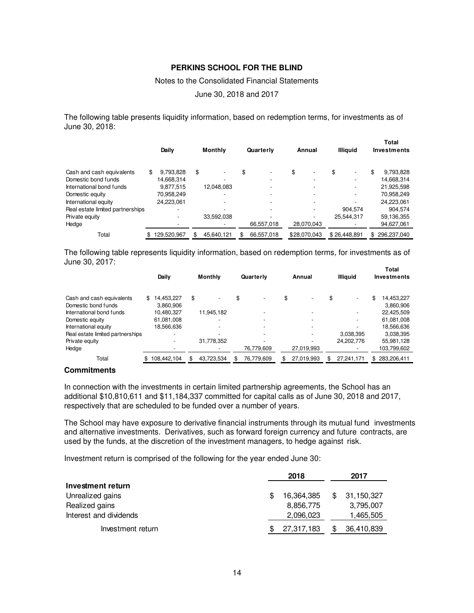#### Notes to the Consolidated Financial Statements

#### June 30, 2018 and 2017

The following table presents liquidity information, based on redemption terms, for investments as of June 30, 2018:

|                                  | Daily                    | <b>Monthly</b>   |     | Quarterly  | Annual       | <b>Illiauid</b>                | <b>Total</b><br><b>Investments</b> |
|----------------------------------|--------------------------|------------------|-----|------------|--------------|--------------------------------|------------------------------------|
| Cash and cash equivalents        | \$<br>9.793.828          | \$               | \$  |            | \$           | \$<br>$\overline{\phantom{a}}$ | \$<br>9,793,828                    |
| Domestic bond funds              | 14,668,314               |                  |     |            |              | $\overline{\phantom{a}}$       | 14,668,314                         |
| International bond funds         | 9.877.515                | 12,048,083       |     |            |              | $\overline{\phantom{a}}$       | 21,925,598                         |
| Domestic equity                  | 70,958,249               |                  |     |            |              | $\overline{\phantom{a}}$       | 70,958,249                         |
| International equity             | 24,223,061               |                  |     |            |              | $\qquad \qquad \blacksquare$   | 24.223.061                         |
| Real estate limited partnerships | $\overline{\phantom{0}}$ |                  |     |            |              | 904.574                        | 904,574                            |
| Private equity                   |                          | 33,592,038       |     |            |              | 25.544.317                     | 59,136,355                         |
| Hedge                            |                          |                  |     | 66,557,018 | 28,070,043   |                                | 94,627,061                         |
| Total                            | 129,520,967              | \$<br>45.640.121 | \$. | 66,557,018 | \$28.070.043 | \$26,448.891                   | \$296.237.040                      |

The following table represents liquidity information, based on redemption terms, for investments as of June 30, 2017: **Total**

|                                  | Daily             | Monthly                  | Quarterly                | Annual            | Illiauid                       | ποιαι<br><b>Investments</b> |
|----------------------------------|-------------------|--------------------------|--------------------------|-------------------|--------------------------------|-----------------------------|
| Cash and cash equivalents        | 14.453.227<br>\$. | \$                       | \$                       |                   | \$<br>$\overline{\phantom{0}}$ | \$<br>14,453,227            |
| Domestic bond funds              | 3,860,906         |                          |                          |                   |                                | 3,860,906                   |
| International bond funds         | 10,480,327        | 11,945,182               | $\overline{\phantom{a}}$ | -                 | $\overline{\phantom{0}}$       | 22,425,509                  |
| Domestic equity                  | 61,081,008        | $\overline{\phantom{a}}$ |                          |                   |                                | 61,081,008                  |
| International equity             | 18,566,636        | ۰.                       |                          |                   |                                | 18,566,636                  |
| Real estate limited partnerships |                   | $\overline{\phantom{a}}$ | ٠                        |                   | 3,038,395                      | 3,038,395                   |
| Private equity                   |                   | 31,778,352               |                          |                   | 24.202.776                     | 55,981,128                  |
| Hedge                            |                   |                          | 76,779,609               | 27,019,993        |                                | 103,799,602                 |
| Total                            | 108,442,104       | 43,723,534               | 76,779,609               | 27,019,993<br>\$. | 27,241,171                     | \$283,206,411               |

#### **Commitments**

In connection with the investments in certain limited partnership agreements, the School has an additional \$10,810,611 and \$11,184,337 committed for capital calls as of June 30, 2018 and 2017, respectively that are scheduled to be funded over a number of years.

The School may have exposure to derivative financial instruments through its mutual fund investments and alternative investments. Derivatives, such as forward foreign currency and future contracts, are used by the funds, at the discretion of the investment managers, to hedge against risk.

Investment return is comprised of the following for the year ended June 30:

|                        | 2018       |     | 2017       |  |
|------------------------|------------|-----|------------|--|
| Investment return      |            |     |            |  |
| Unrealized gains       | 16,364,385 | SS. | 31,150,327 |  |
| Realized gains         | 8,856,775  |     | 3,795,007  |  |
| Interest and dividends | 2,096,023  |     | 1,465,505  |  |
| Investment return      | 27,317,183 |     | 36,410,839 |  |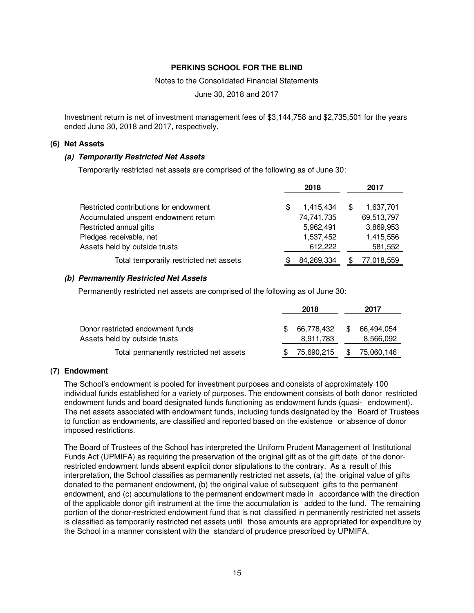Notes to the Consolidated Financial Statements

June 30, 2018 and 2017

Investment return is net of investment management fees of \$3,144,758 and \$2,735,501 for the years ended June 30, 2018 and 2017, respectively.

#### **(6) Net Assets**

#### **(a) Temporarily Restricted Net Assets**

Temporarily restricted net assets are comprised of the following as of June 30:

|                                         | 2018            | 2017            |
|-----------------------------------------|-----------------|-----------------|
|                                         |                 |                 |
| Restricted contributions for endowment  | \$<br>1.415.434 | \$<br>1,637,701 |
| Accumulated unspent endowment return    | 74,741,735      | 69,513,797      |
| Restricted annual gifts                 | 5,962,491       | 3,869,953       |
| Pledges receivable, net                 | 1,537,452       | 1,415,556       |
| Assets held by outside trusts           | 612,222         | 581,552         |
| Total temporarily restricted net assets | 84,269,334      | 77,018,559      |

#### **(b) Permanently Restricted Net Assets**

Permanently restricted net assets are comprised of the following as of June 30:

|                                         | 2018 |            |     | 2017       |
|-----------------------------------------|------|------------|-----|------------|
|                                         |      |            |     |            |
| Donor restricted endowment funds        |      | 66.778.432 | \$. | 66.494.054 |
| Assets held by outside trusts           |      | 8,911,783  |     | 8,566,092  |
| Total permanently restricted net assets |      | 75,690,215 | \$  | 75,060,146 |

#### **(7) Endowment**

The School's endowment is pooled for investment purposes and consists of approximately 100 individual funds established for a variety of purposes. The endowment consists of both donor restricted endowment funds and board designated funds functioning as endowment funds (quasi- endowment). The net assets associated with endowment funds, including funds designated by the Board of Trustees to function as endowments, are classified and reported based on the existence or absence of donor imposed restrictions.

The Board of Trustees of the School has interpreted the Uniform Prudent Management of Institutional Funds Act (UPMIFA) as requiring the preservation of the original gift as of the gift date of the donorrestricted endowment funds absent explicit donor stipulations to the contrary. As a result of this interpretation, the School classifies as permanently restricted net assets, (a) the original value of gifts donated to the permanent endowment, (b) the original value of subsequent gifts to the permanent endowment, and (c) accumulations to the permanent endowment made in accordance with the direction of the applicable donor gift instrument at the time the accumulation is added to the fund. The remaining portion of the donor-restricted endowment fund that is not classified in permanently restricted net assets is classified as temporarily restricted net assets until those amounts are appropriated for expenditure by the School in a manner consistent with the standard of prudence prescribed by UPMIFA.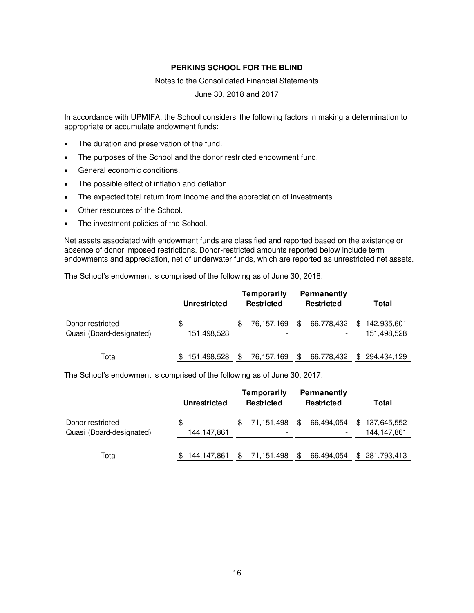Notes to the Consolidated Financial Statements

June 30, 2018 and 2017

In accordance with UPMIFA, the School considers the following factors in making a determination to appropriate or accumulate endowment funds:

- The duration and preservation of the fund.
- The purposes of the School and the donor restricted endowment fund.
- General economic conditions.
- The possible effect of inflation and deflation.
- The expected total return from income and the appreciation of investments.
- Other resources of the School.
- The investment policies of the School.

Net assets associated with endowment funds are classified and reported based on the existence or absence of donor imposed restrictions. Donor-restricted amounts reported below include term endowments and appreciation, net of underwater funds, which are reported as unrestricted net assets.

The School's endowment is comprised of the following as of June 30, 2018:

|                                              | <b>Unrestricted</b> | Temporarily<br><b>Restricted</b>               | Permanently<br><b>Restricted</b> | Total          |
|----------------------------------------------|---------------------|------------------------------------------------|----------------------------------|----------------|
| Donor restricted<br>Quasi (Board-designated) | \$<br>151,498,528   | 76.157.169<br>- \$<br>$\overline{\phantom{a}}$ | \$ 66,778,432 \$ 142,935,601     | 151,498,528    |
| Total                                        | \$151,498,528       | 76, 157, 169                                   | 66,778,432                       | \$ 294,434,129 |

The School's endowment is comprised of the following as of June 30, 2017:

|                                              | Unrestricted        | Temporarily<br><b>Restricted</b> | <b>Permanently</b><br>Restricted | Total                          |
|----------------------------------------------|---------------------|----------------------------------|----------------------------------|--------------------------------|
| Donor restricted<br>Quasi (Board-designated) | \$<br>144, 147, 861 | - \$ 71,151,498                  | 66,494,054<br>- \$               | \$137.645.552<br>144, 147, 861 |
| Total                                        | 144,147,861         | \$<br>71,151,498                 | 66,494,054                       | \$281,793,413                  |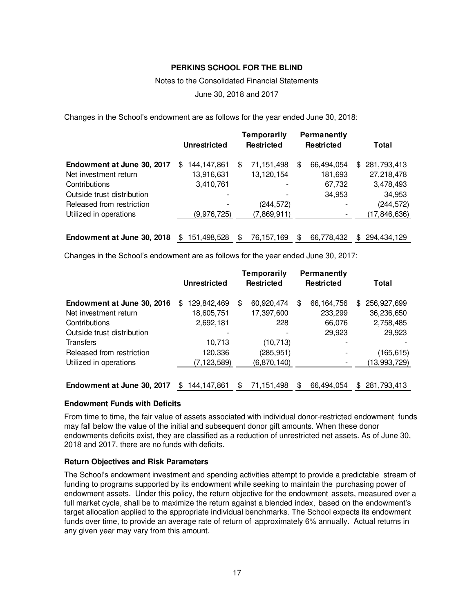Notes to the Consolidated Financial Statements

June 30, 2018 and 2017

Changes in the School's endowment are as follows for the year ended June 30, 2018:

| 281,793,413  |
|--------------|
| 27,218,478   |
| 3,478,493    |
| 34,953       |
| (244, 572)   |
| (17,846,636) |
| 294.434.129  |
|              |

Changes in the School's endowment are as follows for the year ended June 30, 2017:

|                            | <b>Unrestricted</b> | Temporarily<br><b>Restricted</b> | Permanently<br><b>Restricted</b> |     | Total          |
|----------------------------|---------------------|----------------------------------|----------------------------------|-----|----------------|
| Endowment at June 30, 2016 | 129,842,469<br>\$   | \$<br>60,920,474                 | \$<br>66, 164, 756               | \$. | 256,927,699    |
| Net investment return      | 18,605,751          | 17,397,600                       | 233,299                          |     | 36,236,650     |
| Contributions              | 2,692,181           | 228                              | 66,076                           |     | 2,758,485      |
| Outside trust distribution |                     |                                  | 29,923                           |     | 29,923         |
| <b>Transfers</b>           | 10,713              | (10, 713)                        |                                  |     |                |
| Released from restriction  | 120,336             | (285, 951)                       |                                  |     | (165, 615)     |
| Utilized in operations     | (7,123,589)         | (6,870,140)                      |                                  |     | (13, 993, 729) |
|                            |                     |                                  |                                  |     |                |
| Endowment at June 30, 2017 | 144.147.861<br>S    | \$<br>71,151,498                 | \$<br>66.494.054                 | \$  | 281,793,413    |

## **Endowment Funds with Deficits**

From time to time, the fair value of assets associated with individual donor-restricted endowment funds may fall below the value of the initial and subsequent donor gift amounts. When these donor endowments deficits exist, they are classified as a reduction of unrestricted net assets. As of June 30, 2018 and 2017, there are no funds with deficits.

#### **Return Objectives and Risk Parameters**

The School's endowment investment and spending activities attempt to provide a predictable stream of funding to programs supported by its endowment while seeking to maintain the purchasing power of endowment assets. Under this policy, the return objective for the endowment assets, measured over a full market cycle, shall be to maximize the return against a blended index, based on the endowment's target allocation applied to the appropriate individual benchmarks. The School expects its endowment funds over time, to provide an average rate of return of approximately 6% annually. Actual returns in any given year may vary from this amount.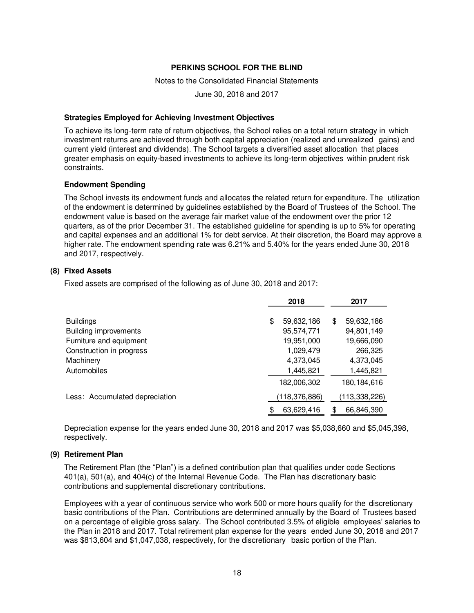Notes to the Consolidated Financial Statements

June 30, 2018 and 2017

#### **Strategies Employed for Achieving Investment Objectives**

To achieve its long-term rate of return objectives, the School relies on a total return strategy in which investment returns are achieved through both capital appreciation (realized and unrealized gains) and current yield (interest and dividends). The School targets a diversified asset allocation that places greater emphasis on equity-based investments to achieve its long-term objectives within prudent risk constraints.

#### **Endowment Spending**

The School invests its endowment funds and allocates the related return for expenditure. The utilization of the endowment is determined by guidelines established by the Board of Trustees of the School. The endowment value is based on the average fair market value of the endowment over the prior 12 quarters, as of the prior December 31. The established guideline for spending is up to 5% for operating and capital expenses and an additional 1% for debt service. At their discretion, the Board may approve a higher rate. The endowment spending rate was 6.21% and 5.40% for the years ended June 30, 2018 and 2017, respectively.

#### **(8) Fixed Assets**

Fixed assets are comprised of the following as of June 30, 2018 and 2017:

|                                | 2018 |                 |    | 2017          |  |  |
|--------------------------------|------|-----------------|----|---------------|--|--|
| <b>Buildings</b>               | \$   | 59,632,186      | \$ | 59,632,186    |  |  |
| <b>Building improvements</b>   |      | 95,574,771      |    | 94,801,149    |  |  |
| Furniture and equipment        |      | 19,951,000      |    | 19,666,090    |  |  |
| Construction in progress       |      | 1,029,479       |    | 266,325       |  |  |
| Machinery                      |      | 4,373,045       |    | 4,373,045     |  |  |
| Automobiles                    |      | 1,445,821       |    | 1,445,821     |  |  |
|                                |      | 182,006,302     |    | 180, 184, 616 |  |  |
| Less: Accumulated depreciation |      | (118, 376, 886) |    | (113,338,226) |  |  |
|                                | \$   | 63,629,416      | \$ | 66,846,390    |  |  |

Depreciation expense for the years ended June 30, 2018 and 2017 was \$5,038,660 and \$5,045,398, respectively.

#### **(9) Retirement Plan**

The Retirement Plan (the "Plan") is a defined contribution plan that qualifies under code Sections 401(a), 501(a), and 404(c) of the Internal Revenue Code. The Plan has discretionary basic contributions and supplemental discretionary contributions.

Employees with a year of continuous service who work 500 or more hours qualify for the discretionary basic contributions of the Plan. Contributions are determined annually by the Board of Trustees based on a percentage of eligible gross salary. The School contributed 3.5% of eligible employees' salaries to the Plan in 2018 and 2017. Total retirement plan expense for the years ended June 30, 2018 and 2017 was \$813,604 and \$1,047,038, respectively, for the discretionary basic portion of the Plan.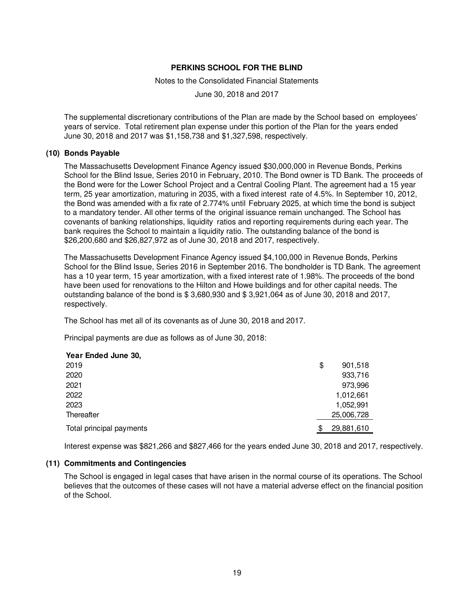Notes to the Consolidated Financial Statements

June 30, 2018 and 2017

The supplemental discretionary contributions of the Plan are made by the School based on employees' years of service. Total retirement plan expense under this portion of the Plan for the years ended June 30, 2018 and 2017 was \$1,158,738 and \$1,327,598, respectively.

#### **(10) Bonds Payable**

The Massachusetts Development Finance Agency issued \$30,000,000 in Revenue Bonds, Perkins School for the Blind Issue, Series 2010 in February, 2010. The Bond owner is TD Bank. The proceeds of the Bond were for the Lower School Project and a Central Cooling Plant. The agreement had a 15 year term, 25 year amortization, maturing in 2035, with a fixed interest rate of 4.5%. In September 10, 2012, the Bond was amended with a fix rate of 2.774% until February 2025, at which time the bond is subject to a mandatory tender. All other terms of the original issuance remain unchanged. The School has covenants of banking relationships, liquidity ratios and reporting requirements during each year. The bank requires the School to maintain a liquidity ratio. The outstanding balance of the bond is \$26,200,680 and \$26,827,972 as of June 30, 2018 and 2017, respectively.

The Massachusetts Development Finance Agency issued \$4,100,000 in Revenue Bonds, Perkins School for the Blind Issue, Series 2016 in September 2016. The bondholder is TD Bank. The agreement has a 10 year term, 15 year amortization, with a fixed interest rate of 1.98%. The proceeds of the bond have been used for renovations to the Hilton and Howe buildings and for other capital needs. The outstanding balance of the bond is \$ 3,680,930 and \$ 3,921,064 as of June 30, 2018 and 2017, respectively.

The School has met all of its covenants as of June 30, 2018 and 2017.

Principal payments are due as follows as of June 30, 2018:

#### **Year Ended June 30,**

| .                        |               |
|--------------------------|---------------|
| 2019                     | \$<br>901,518 |
| 2020                     | 933,716       |
| 2021                     | 973,996       |
| 2022                     | 1,012,661     |
| 2023                     | 1,052,991     |
| Thereafter               | 25,006,728    |
| Total principal payments | 29,881,610    |

Interest expense was \$821,266 and \$827,466 for the years ended June 30, 2018 and 2017, respectively.

#### **(11) Commitments and Contingencies**

The School is engaged in legal cases that have arisen in the normal course of its operations. The School believes that the outcomes of these cases will not have a material adverse effect on the financial position of the School.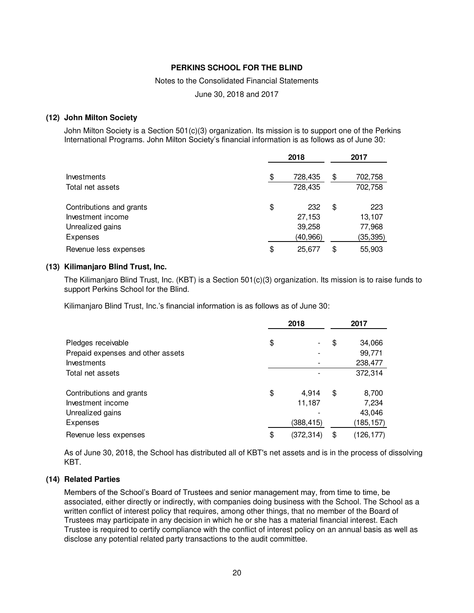Notes to the Consolidated Financial Statements

June 30, 2018 and 2017

#### **(12) John Milton Society**

John Milton Society is a Section 501(c)(3) organization. Its mission is to support one of the Perkins International Programs. John Milton Society's financial information is as follows as of June 30:

|                          | 2018 |           | 2017 |          |
|--------------------------|------|-----------|------|----------|
| <b>Investments</b>       | \$   | 728,435   | \$   | 702,758  |
| Total net assets         |      | 728,435   |      | 702,758  |
| Contributions and grants | \$   | 232       | \$   | 223      |
| Investment income        |      | 27,153    |      | 13,107   |
| Unrealized gains         |      | 39,258    |      | 77,968   |
| Expenses                 |      | (40, 966) |      | (35,395) |
| Revenue less expenses    | \$   | 25,677    | S    | 55,903   |

#### **(13) Kilimanjaro Blind Trust, Inc.**

The Kilimanjaro Blind Trust, Inc. (KBT) is a Section 501(c)(3) organization. Its mission is to raise funds to support Perkins School for the Blind.

Kilimanjaro Blind Trust, Inc.'s financial information is as follows as of June 30:

|                                   | 2018             | 2017             |
|-----------------------------------|------------------|------------------|
| Pledges receivable                | \$               | \$<br>34,066     |
| Prepaid expenses and other assets |                  | 99,771           |
| <b>Investments</b>                |                  | 238,477          |
| Total net assets                  |                  | 372,314          |
| Contributions and grants          | \$<br>4,914      | \$<br>8,700      |
| Investment income                 | 11,187           | 7,234            |
| Unrealized gains                  |                  | 43,046           |
| Expenses                          | (388, 415)       | (185, 157)       |
| Revenue less expenses             | \$<br>(372, 314) | \$<br>(126, 177) |

As of June 30, 2018, the School has distributed all of KBT's net assets and is in the process of dissolving KBT.

#### **(14) Related Parties**

Members of the School's Board of Trustees and senior management may, from time to time, be associated, either directly or indirectly, with companies doing business with the School. The School as a written conflict of interest policy that requires, among other things, that no member of the Board of Trustees may participate in any decision in which he or she has a material financial interest. Each Trustee is required to certify compliance with the conflict of interest policy on an annual basis as well as disclose any potential related party transactions to the audit committee.